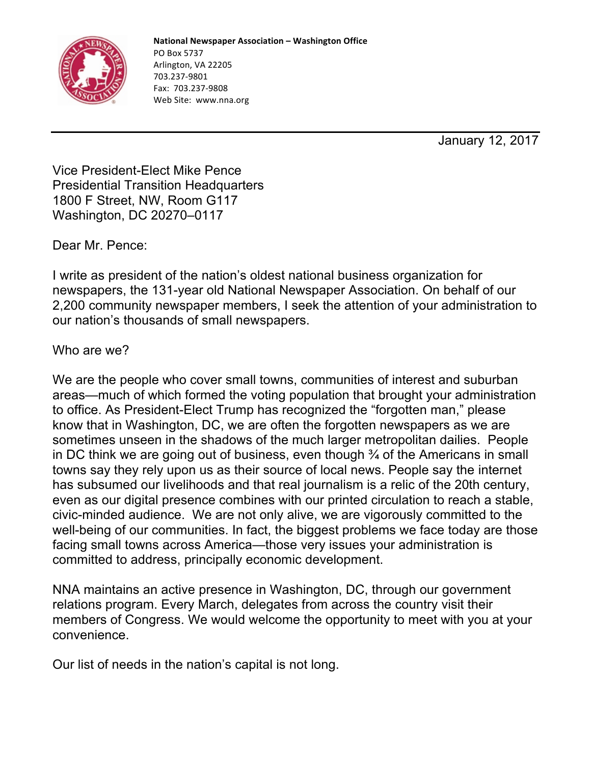

January 12, 2017

Vice President-Elect Mike Pence Presidential Transition Headquarters 1800 F Street, NW, Room G117 Washington, DC 20270–0117

Dear Mr. Pence:

I write as president of the nation's oldest national business organization for newspapers, the 131-year old National Newspaper Association. On behalf of our 2,200 community newspaper members, I seek the attention of your administration to our nation's thousands of small newspapers.

Who are we?

We are the people who cover small towns, communities of interest and suburban areas—much of which formed the voting population that brought your administration to office. As President-Elect Trump has recognized the "forgotten man," please know that in Washington, DC, we are often the forgotten newspapers as we are sometimes unseen in the shadows of the much larger metropolitan dailies. People in DC think we are going out of business, even though ¾ of the Americans in small towns say they rely upon us as their source of local news. People say the internet has subsumed our livelihoods and that real journalism is a relic of the 20th century, even as our digital presence combines with our printed circulation to reach a stable, civic-minded audience. We are not only alive, we are vigorously committed to the well-being of our communities. In fact, the biggest problems we face today are those facing small towns across America—those very issues your administration is committed to address, principally economic development.

NNA maintains an active presence in Washington, DC, through our government relations program. Every March, delegates from across the country visit their members of Congress. We would welcome the opportunity to meet with you at your convenience.

Our list of needs in the nation's capital is not long.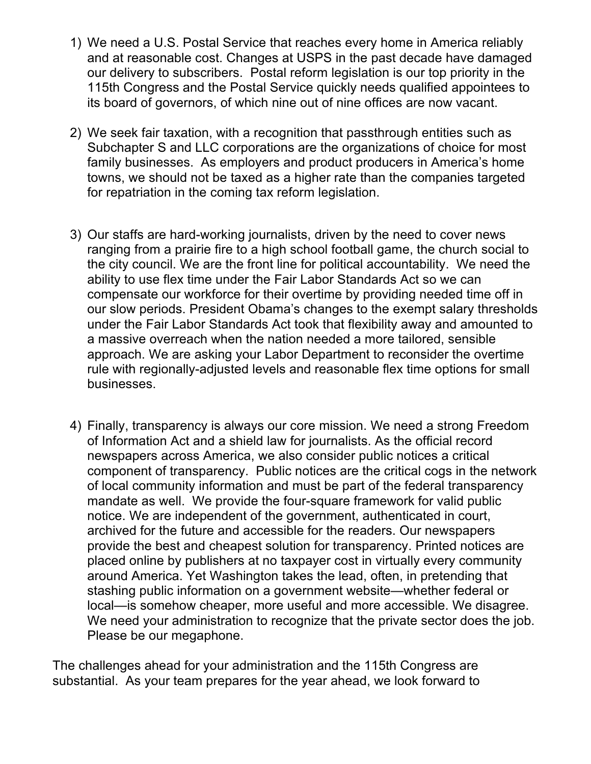- 1) We need a U.S. Postal Service that reaches every home in America reliably and at reasonable cost. Changes at USPS in the past decade have damaged our delivery to subscribers. Postal reform legislation is our top priority in the 115th Congress and the Postal Service quickly needs qualified appointees to its board of governors, of which nine out of nine offices are now vacant.
- 2) We seek fair taxation, with a recognition that passthrough entities such as Subchapter S and LLC corporations are the organizations of choice for most family businesses. As employers and product producers in America's home towns, we should not be taxed as a higher rate than the companies targeted for repatriation in the coming tax reform legislation.
- 3) Our staffs are hard-working journalists, driven by the need to cover news ranging from a prairie fire to a high school football game, the church social to the city council. We are the front line for political accountability. We need the ability to use flex time under the Fair Labor Standards Act so we can compensate our workforce for their overtime by providing needed time off in our slow periods. President Obama's changes to the exempt salary thresholds under the Fair Labor Standards Act took that flexibility away and amounted to a massive overreach when the nation needed a more tailored, sensible approach. We are asking your Labor Department to reconsider the overtime rule with regionally-adjusted levels and reasonable flex time options for small businesses.
- 4) Finally, transparency is always our core mission. We need a strong Freedom of Information Act and a shield law for journalists. As the official record newspapers across America, we also consider public notices a critical component of transparency. Public notices are the critical cogs in the network of local community information and must be part of the federal transparency mandate as well. We provide the four-square framework for valid public notice. We are independent of the government, authenticated in court, archived for the future and accessible for the readers. Our newspapers provide the best and cheapest solution for transparency. Printed notices are placed online by publishers at no taxpayer cost in virtually every community around America. Yet Washington takes the lead, often, in pretending that stashing public information on a government website—whether federal or local—is somehow cheaper, more useful and more accessible. We disagree. We need your administration to recognize that the private sector does the job. Please be our megaphone.

The challenges ahead for your administration and the 115th Congress are substantial. As your team prepares for the year ahead, we look forward to